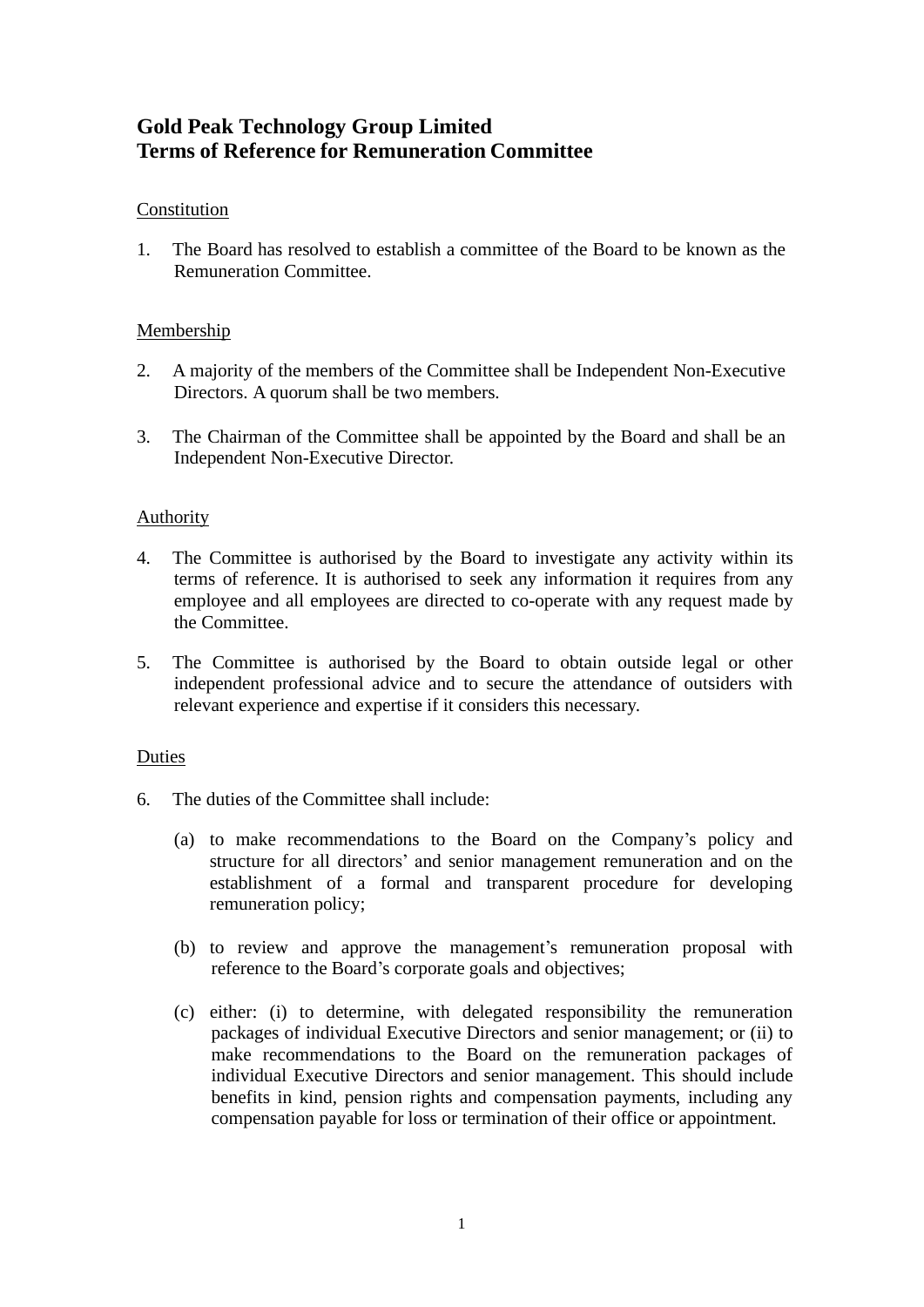# **Gold Peak Technology Group Limited Terms of Reference for Remuneration Committee**

## Constitution

1. The Board has resolved to establish a committee of the Board to be known as the Remuneration Committee.

## Membership

- 2. A majority of the members of the Committee shall be Independent Non-Executive Directors. A quorum shall be two members.
- 3. The Chairman of the Committee shall be appointed by the Board and shall be an Independent Non-Executive Director.

## Authority

- 4. The Committee is authorised by the Board to investigate any activity within its terms of reference. It is authorised to seek any information it requires from any employee and all employees are directed to co-operate with any request made by the Committee.
- 5. The Committee is authorised by the Board to obtain outside legal or other independent professional advice and to secure the attendance of outsiders with relevant experience and expertise if it considers this necessary.

## Duties

- 6. The duties of the Committee shall include:
	- (a) to make recommendations to the Board on the Company's policy and structure for all directors' and senior management remuneration and on the establishment of a formal and transparent procedure for developing remuneration policy;
	- (b) to review and approve the management's remuneration proposal with reference to the Board's corporate goals and objectives;
	- (c) either: (i) to determine, with delegated responsibility the remuneration packages of individual Executive Directors and senior management; or (ii) to make recommendations to the Board on the remuneration packages of individual Executive Directors and senior management. This should include benefits in kind, pension rights and compensation payments, including any compensation payable for loss or termination of their office or appointment.